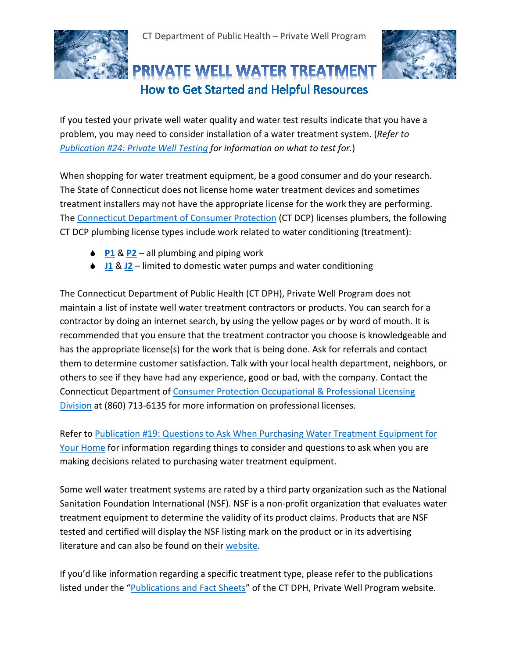



## PRIVATE WELL WATER TREATMENT How to Get Started and Helpful Resources

If you tested your private well water quality and water test results indicate that you have a problem, you may need to consider installation of a water treatment system. (*Refer to [Publication #24: Private Well Testing](https://testyourwell.ct.gov/pdf/24_private_well_testing_1.17LP.pdf) for information on what to test for.*)

When shopping for water treatment equipment, be a good consumer and do your research. The State of Connecticut does not license home water treatment devices and sometimes treatment installers may not have the appropriate license for the work they are performing. The [Connecticut Department of Consumer Protection](http://www.ct.gov/dcp/cwp/view.asp?a=1622&q=446490) (CT DCP) licenses plumbers, the following CT DCP plumbing license types include work related to water conditioning (treatment):

- **◆ [P1](http://www.ct.gov/dcp/cwp/view.asp?q=461630)** & [P2](http://www.ct.gov/dcp/cwp/view.asp?q=461630) all plumbing and piping work
- **↓ [J1](http://www.ct.gov/dcp/cwp/view.asp?q=461630) & [J2](http://www.ct.gov/dcp/cwp/view.asp?q=461630)** limited to domestic water pumps and water conditioning

The Connecticut Department of Public Health (CT DPH), Private Well Program does not maintain a list of instate well water treatment contractors or products. You can search for a contractor by doing an internet search, by using the yellow pages or by word of mouth. It is recommended that you ensure that the treatment contractor you choose is knowledgeable and has the appropriate license(s) for the work that is being done. Ask for referrals and contact them to determine customer satisfaction. Talk with your local health department, neighbors, or others to see if they have had any experience, good or bad, with the company. Contact the Connecticut Department of [Consumer Protection Occupational & Professional Licensing](http://www.ct.gov/dcp/cwp/view.asp?a=1629&q=274430#op)  [Division](http://www.ct.gov/dcp/cwp/view.asp?a=1629&q=274430#op) at (860) 713-6135 for more information on professional licenses.

Refer to [Publication #19: Questions to Ask When Purchasing Water Treatment Equipment for](http://www.portal.ct.gov/-/media/Departments-and-Agencies/DPH/dph/environmental_health/private_wells/Publications/19QuestionstoAskwhenPurchasingJune2016pdf.pdf?la=en)  [Your Home](http://www.portal.ct.gov/-/media/Departments-and-Agencies/DPH/dph/environmental_health/private_wells/Publications/19QuestionstoAskwhenPurchasingJune2016pdf.pdf?la=en) for information regarding things to consider and questions to ask when you are making decisions related to purchasing water treatment equipment.

Some well water treatment systems are rated by a third party organization such as the National Sanitation Foundation International (NSF). NSF is a non-profit organization that evaluates water treatment equipment to determine the validity of its product claims. Products that are NSF tested and certified will display the NSF listing mark on the product or in its advertising literature and can also be found on thei[r website.](http://www.nsf.org/consumer-resources/what-is-nsf-certification/water-filters-treatment-certification)

If you'd like information regarding a specific treatment type, please refer to the publications listed under the ["Publications and Fact Sheets"](http://www.ct.gov/dph/cwp/view.asp?a=3140&pm=1&Q=551240) of the CT DPH, Private Well Program website.